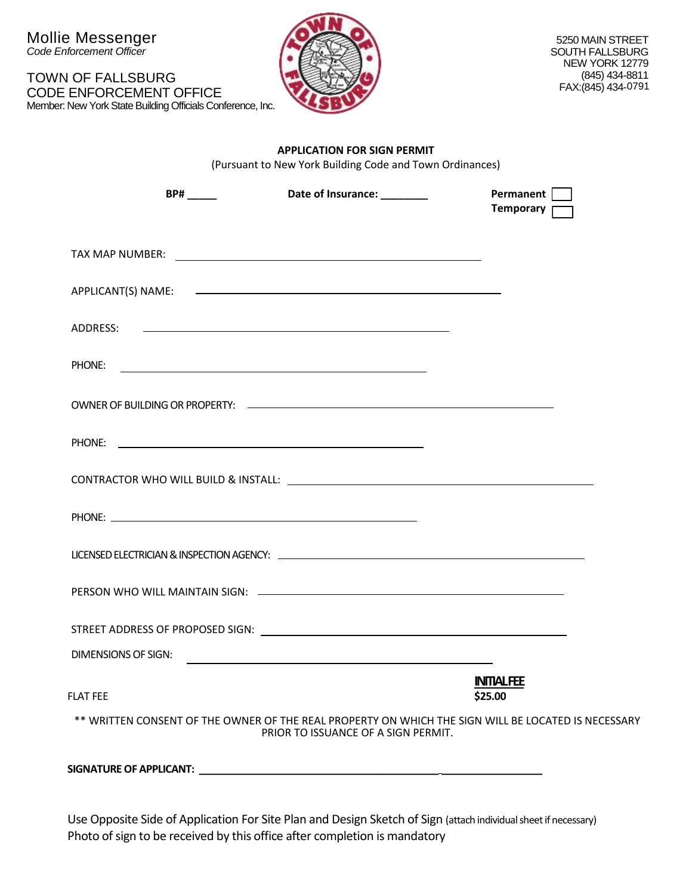| TOWN OF FALLSBURG                                          |
|------------------------------------------------------------|
| CODE ENFORCEMENT OFFICE                                    |
| Member: New York State Building Officials Conference, Inc. |



#### **APPLICATION FOR SIGN PERMIT**

(Pursuant to New York Building Code and Town Ordinances)

| $BP#$ <sub>_____</sub>                                                                              | Date of Insurance: _________                                                                                         | Permanent<br>Temporary <b>T</b> |  |
|-----------------------------------------------------------------------------------------------------|----------------------------------------------------------------------------------------------------------------------|---------------------------------|--|
|                                                                                                     |                                                                                                                      |                                 |  |
|                                                                                                     |                                                                                                                      |                                 |  |
|                                                                                                     |                                                                                                                      |                                 |  |
|                                                                                                     |                                                                                                                      |                                 |  |
|                                                                                                     |                                                                                                                      |                                 |  |
|                                                                                                     |                                                                                                                      |                                 |  |
|                                                                                                     |                                                                                                                      |                                 |  |
|                                                                                                     |                                                                                                                      |                                 |  |
|                                                                                                     |                                                                                                                      |                                 |  |
|                                                                                                     |                                                                                                                      |                                 |  |
|                                                                                                     |                                                                                                                      |                                 |  |
|                                                                                                     |                                                                                                                      |                                 |  |
| <b>DIMENSIONS OF SIGN:</b>                                                                          | <u> 1989 - Johann Stein, mars an deutscher Stein und der Stein und der Stein und der Stein und der Stein und der</u> |                                 |  |
| <b>FLAT FEE</b>                                                                                     |                                                                                                                      | <b>INTIALFEE</b><br>\$25.00     |  |
| ** WRITTEN CONSENT OF THE OWNER OF THE REAL PROPERTY ON WHICH THE SIGN WILL BE LOCATED IS NECESSARY | PRIOR TO ISSUANCE OF A SIGN PERMIT.                                                                                  |                                 |  |
|                                                                                                     |                                                                                                                      |                                 |  |

Use Opposite Side of Application For Site Plan and Design Sketch of Sign (attach individual sheet if necessary) Photo of sign to be received by this office after completion is mandatory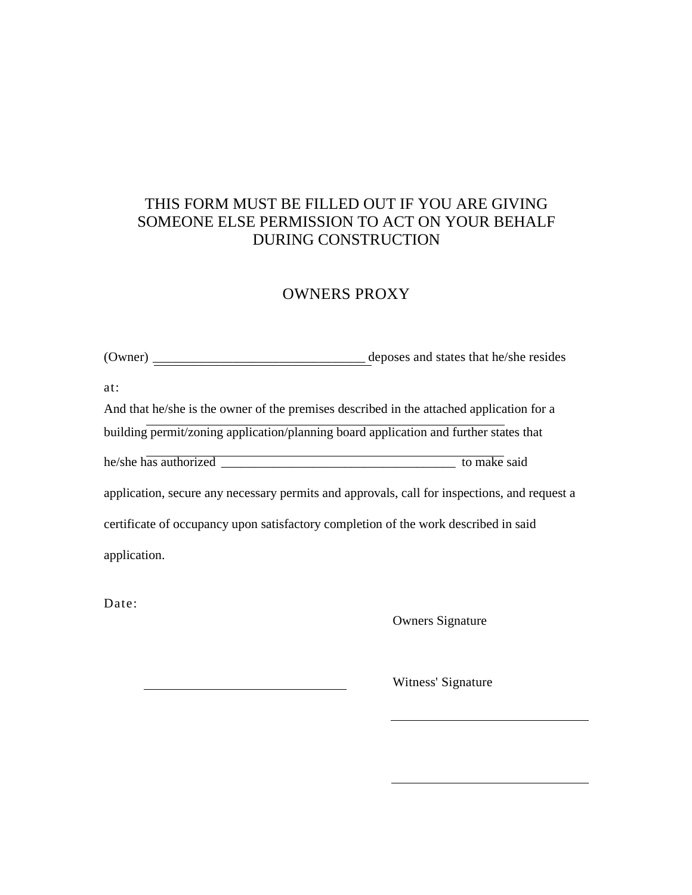#### THIS FORM MUST BE FILLED OUT IF YOU ARE GIVING SOMEONE ELSE PERMISSION TO ACT ON YOUR BEHALF DURING CONSTRUCTION

### OWNERS PROXY

(Owner) \_\_\_\_\_\_\_\_\_\_\_\_\_\_\_\_\_\_\_\_\_\_\_\_\_\_\_\_\_\_\_\_ deposes and states that he/she resides

at:

And that he/she is the owner of the premises described in the attached application for a building permit/zoning application/planning board application and further states that he/she has authorized \_\_\_\_\_\_\_\_\_\_\_\_\_\_\_\_\_\_\_\_\_\_\_\_\_\_\_\_\_\_\_\_\_\_\_\_ to make said application, secure any necessary permits and approvals, call for inspections, and request a certificate of occupancy upon satisfactory completion of the work described in said

application.

Date:

Owners Signature

Witness' Signature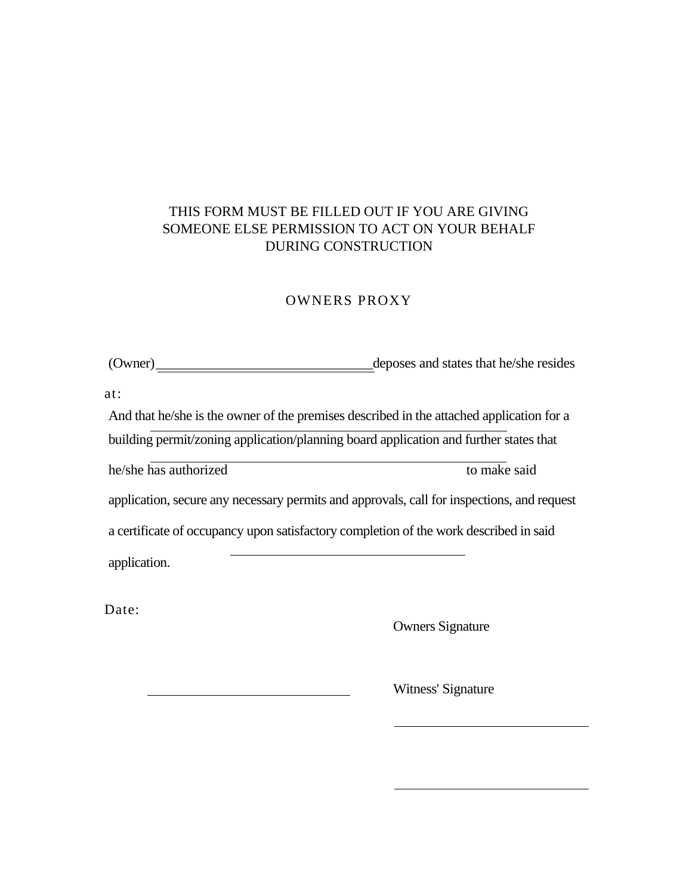#### THIS FORM MUST BE FILLED OUT IF YOU ARE GIVING SOMEONE ELSE PERMISSION TO ACT ON YOUR BEHALF DURING CONSTRUCTION

#### OWNERS PROXY

(Owner)\_\_\_\_\_\_\_\_\_\_\_\_\_\_\_\_\_\_\_\_\_\_\_\_\_\_\_\_\_\_\_\_deposes and states that he/she resides

at:

And that he/she is the owner of the premises described in the attached application for a building permit/zoning application/planning board application and further states that he/she has authorized to make said application, secure any necessary permits and approvals, call for inspections, and request a certificate of occupancy upon satisfactory completion of the work described in said application.

Date:

Owners Signature

Witness' Signature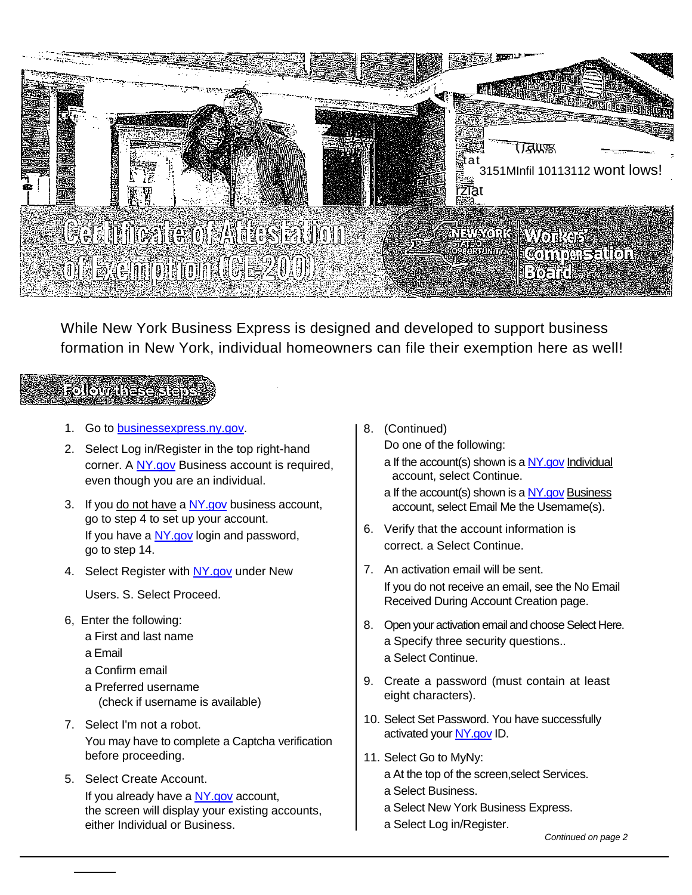

While New York Business Express is designed and developed to support business formation in New York, individual homeowners can file their exemption here as well!

## **Followariers Report**

- 1. Go to [businessexpress.ny.gov.](http://businessexpress.ny.gov/)
- 2. Select Log in/Register in the top right-hand corner. A [NY.gov](http://ny.gov/) Business account is required, even though you are an individual.
- 3. If you do not have a NY gov business account, go to step 4 to set up your account. If you have a [NY.gov](http://ny.gov/) login and password, go to step 14.
- 4. Select Register with [NY.gov](http://ny.gov/) under New

Users. S. Select Proceed.

- 6, Enter the following:
	- a First and last name
	- a Email
	- a Confirm email
	- a Preferred username (check if username is available)
- 7. Select I'm not a robot. You may have to complete a Captcha verification before proceeding.
- 5. Select Create Account. If you already have a  $NY.gov$  account, the screen will display your existing accounts, either Individual or Business.
- 8. (Continued)
	- Do one of the following: a If the account(s) shown is a  $NY.gov$  Individual account, select Continue.
	- a If the account(s) shown is a [NY.gov](http://ny.gov/) Business account, select Email Me the Usemame(s).
- 6. Verify that the account information is correct. a Select Continue.
- 7. An activation email will be sent. If you do not receive an email, see the No Email Received During Account Creation page.
- 8. Open your activation email and choose Select Here. a Specify three security questions.. a Select Continue.
- 9. Create a password (must contain at least eight characters).
- 10. Select Set Password. You have successfully activated your [NY.gov](http://ny.gov/) ID.
- 11. Select Go to MyNy: a At the top of the screen,select Services.
	- a Select Business.
	- a Select New York Business Express.
	- a Select Log in/Register.

*Continued on page 2*